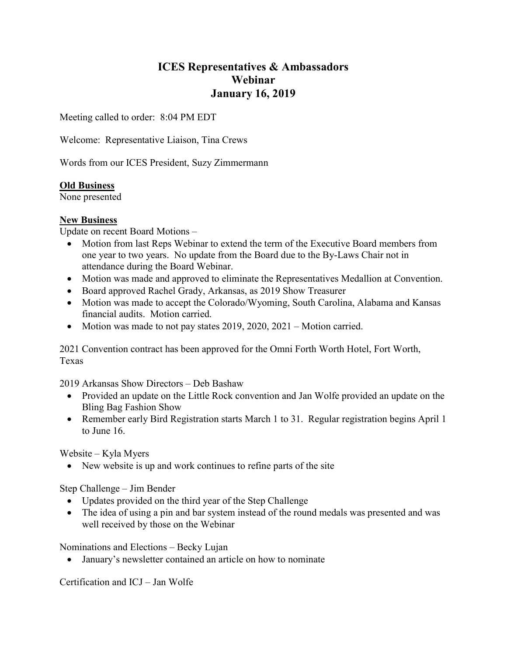# ICES Representatives & Ambassadors Webinar January 16, 2019

Meeting called to order: 8:04 PM EDT

Welcome: Representative Liaison, Tina Crews

Words from our ICES President, Suzy Zimmermann

# Old Business

None presented

# New Business

Update on recent Board Motions –

- Motion from last Reps Webinar to extend the term of the Executive Board members from one year to two years. No update from the Board due to the By-Laws Chair not in attendance during the Board Webinar.
- Motion was made and approved to eliminate the Representatives Medallion at Convention.
- Board approved Rachel Grady, Arkansas, as 2019 Show Treasurer
- Motion was made to accept the Colorado/Wyoming, South Carolina, Alabama and Kansas financial audits. Motion carried.
- Motion was made to not pay states  $2019, 2020, 2021$  Motion carried.

2021 Convention contract has been approved for the Omni Forth Worth Hotel, Fort Worth, Texas

2019 Arkansas Show Directors – Deb Bashaw

- Provided an update on the Little Rock convention and Jan Wolfe provided an update on the Bling Bag Fashion Show
- Remember early Bird Registration starts March 1 to 31. Regular registration begins April 1 to June 16.

Website – Kyla Myers

New website is up and work continues to refine parts of the site

Step Challenge – Jim Bender

- Updates provided on the third year of the Step Challenge
- The idea of using a pin and bar system instead of the round medals was presented and was well received by those on the Webinar

Nominations and Elections – Becky Lujan

January's newsletter contained an article on how to nominate

Certification and ICJ – Jan Wolfe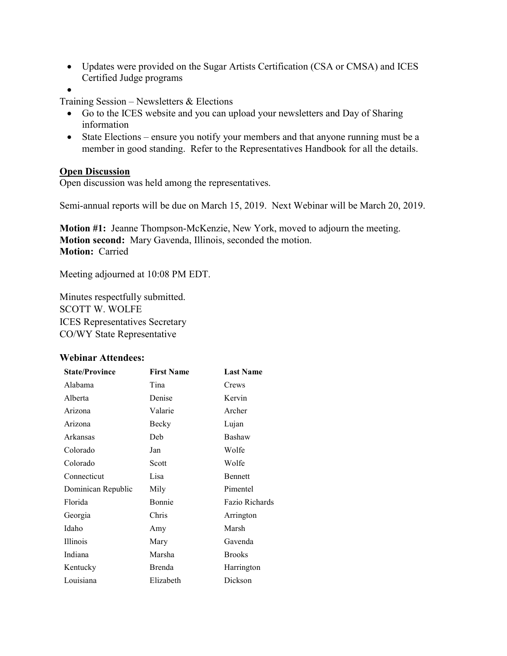- Updates were provided on the Sugar Artists Certification (CSA or CMSA) and ICES Certified Judge programs
- $\bullet$

Training Session – Newsletters & Elections

- Go to the ICES website and you can upload your newsletters and Day of Sharing information
- State Elections ensure you notify your members and that anyone running must be a member in good standing. Refer to the Representatives Handbook for all the details.

### **Open Discussion**

Open discussion was held among the representatives.

Semi-annual reports will be due on March 15, 2019. Next Webinar will be March 20, 2019.

Motion #1: Jeanne Thompson-McKenzie, New York, moved to adjourn the meeting. Motion second: Mary Gavenda, Illinois, seconded the motion. Motion: Carried

Meeting adjourned at 10:08 PM EDT.

Minutes respectfully submitted. SCOTT W. WOLFE ICES Representatives Secretary CO/WY State Representative

### Webinar Attendees:

| <b>State/Province</b> | <b>First Name</b> | <b>Last Name</b> |
|-----------------------|-------------------|------------------|
| Alabama               | Tina              | Crews            |
| Alberta               | Denise            | Kervin           |
| Arizona               | Valarie           | Archer           |
| Arizona               | Becky             | Lujan            |
| Arkansas              | Deb               | Bashaw           |
| Colorado              | Jan               | Wolfe            |
| Colorado              | Scott             | Wolfe            |
| Connecticut           | Lisa              | <b>Bennett</b>   |
| Dominican Republic    | Mily              | Pimentel         |
| Florida               | Bonnie            | Fazio Richards   |
| Georgia               | Chris             | Arrington        |
| Idaho                 | Amy               | Marsh            |
| <b>Illinois</b>       | Mary              | Gavenda          |
| Indiana               | Marsha            | <b>Brooks</b>    |
| Kentucky              | Brenda            | Harrington       |
| Louisiana             | Elizabeth         | Dickson          |